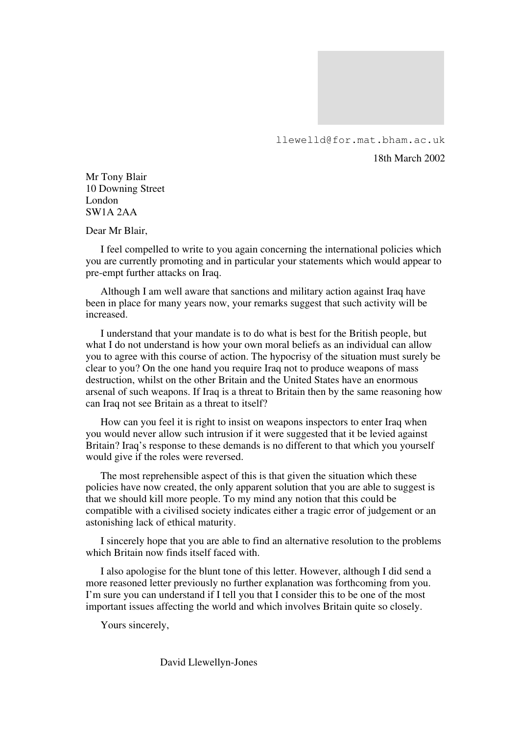

llewelld@for.mat.bham.ac.uk

18th March 2002

Mr Tony Blair 10 Downing Street London SW1A 2AA

Dear Mr Blair,

I feel compelled to write to you again concerning the international policies which you are currently promoting and in particular your statements which would appear to pre-empt further attacks on Iraq.

Although I am well aware that sanctions and military action against Iraq have been in place for many years now, your remarks suggest that such activity will be increased.

I understand that your mandate is to do what is best for the British people, but what I do not understand is how your own moral beliefs as an individual can allow you to agree with this course of action. The hypocrisy of the situation must surely be clear to you? On the one hand you require Iraq not to produce weapons of mass destruction, whilst on the other Britain and the United States have an enormous arsenal of such weapons. If Iraq is a threat to Britain then by the same reasoning how can Iraq not see Britain as a threat to itself?

How can you feel it is right to insist on weapons inspectors to enter Iraq when you would never allow such intrusion if it were suggested that it be levied against Britain? Iraq's response to these demands is no different to that which you yourself would give if the roles were reversed.

The most reprehensible aspect of this is that given the situation which these policies have now created, the only apparent solution that you are able to suggest is that we should kill more people. To my mind any notion that this could be compatible with a civilised society indicates either a tragic error of judgement or an astonishing lack of ethical maturity.

I sincerely hope that you are able to find an alternative resolution to the problems which Britain now finds itself faced with.

I also apologise for the blunt tone of this letter. However, although I did send a more reasoned letter previously no further explanation was forthcoming from you. I'm sure you can understand if I tell you that I consider this to be one of the most important issues affecting the world and which involves Britain quite so closely.

Yours sincerely,

David Llewellyn-Jones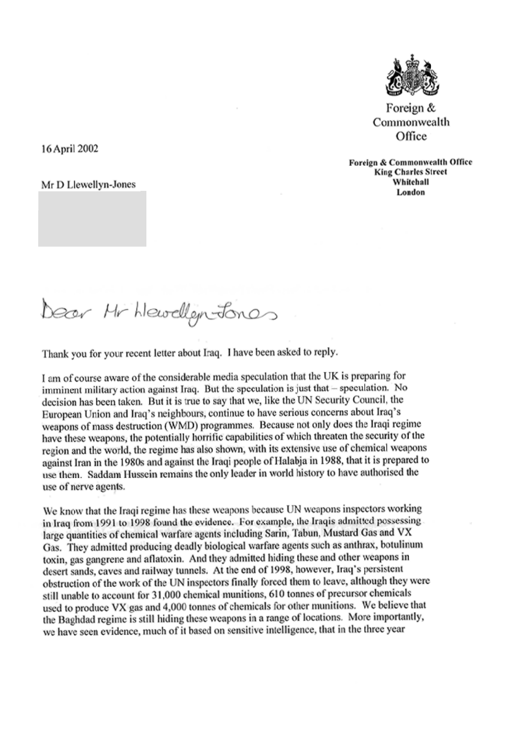

Foreign & Commonwealth Office

Foreign & Commonwealth Office **King Charles Street** Whitehall London

Dear Hr hlewellem Jones

16 April 2002

Mr D Llewellyn-Jones

Thank you for your recent letter about Iraq. I have been asked to reply.

I am of course aware of the considerable media speculation that the UK is preparing for imminent military action against Iraq. But the speculation is just that – speculation. No decision has been taken. But it is true to say that we, like the UN Security Council, the European Union and Iraq's neighbours, continue to have serious concerns about Iraq's weapons of mass destruction (WMD) programmes. Because not only does the Iraqi regime have these weapons, the potentially horrific capabilities of which threaten the security of the region and the world, the regime has also shown, with its extensive use of chemical weapons against Iran in the 1980s and against the Iraqi people of Halabja in 1988, that it is prepared to use them. Saddam Hussein remains the only leader in world history to have authorised the use of nerve agents.

We know that the Iraqi regime has these weapons because UN weapons inspectors working in Iraq from 1991 to 1998 found the evidence. For example, the Iraqis admitted possessing large quantities of chemical warfare agents including Sarin, Tabun, Mustard Gas and VX Gas. They admitted producing deadly biological warfare agents such as anthrax, botulinum toxin, gas gangrene and aflatoxin. And they admitted hiding these and other weapons in desert sands, caves and railway tunnels. At the end of 1998, however, Iraq's persistent obstruction of the work of the UN inspectors finally forced them to leave, although they were still unable to account for 31,000 chemical munitions, 610 tonnes of precursor chemicals used to produce VX gas and 4,000 tonnes of chemicals for other munitions. We believe that the Baghdad regime is still hiding these weapons in a range of locations. More importantly, we have seen evidence, much of it based on sensitive intelligence, that in the three year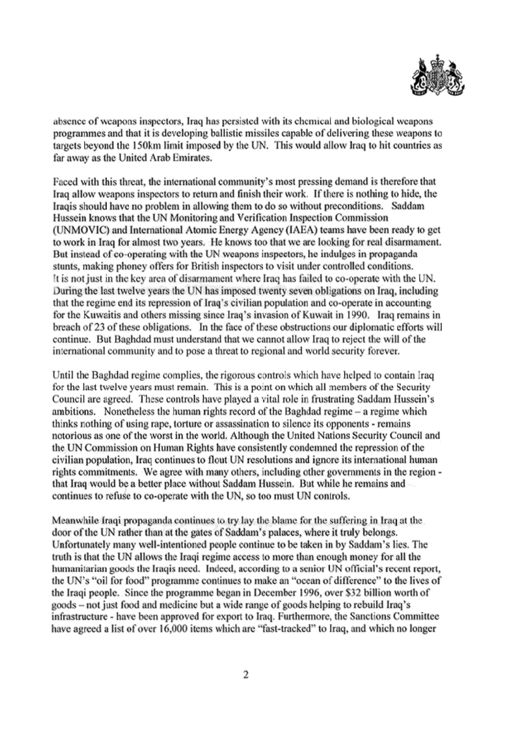

absence of weapons inspectors, Iraq has persisted with its chemical and biological weapons programmes and that it is developing ballistic missiles capable of delivering these weapons to targets beyond the 150km limit imposed by the UN. This would allow Iraq to hit countries as far away as the United Arab Emirates.

Faced with this threat, the international community's most pressing demand is therefore that Iraq allow weapons inspectors to return and finish their work. If there is nothing to hide, the Iraquis should have no problem in allowing them to do so without preconditions. Saddam Hussein knows that the UN Monitoring and Verification Inspection Commission (UNMOVIC) and International Atomic Energy Agency (IAEA) teams have been ready to get to work in Iraq for almost two years. He knows too that we are looking for real disarmament. But instead of co-operating with the UN weapons inspectors, he indulges in propaganda stunts, making phoney offers for British inspectors to visit under controlled conditions. It is not just in the key area of disarmament where Iraq has failed to co-operate with the UN. During the last twelve years the UN has imposed twenty seven obligations on Iraq, including that the regime end its repression of Iraq's civilian population and co-operate in accounting for the Kuwaitis and others missing since Iraq's invasion of Kuwait in 1990. Iraq remains in breach of 23 of these obligations. In the face of these obstructions our diplomatic efforts will continue. But Baghdad must understand that we cannot allow Iraq to reject the will of the international community and to pose a threat to regional and world security forever.

Until the Baghdad regime complies, the rigorous controls which have helped to contain Iraq for the last twelve years must remain. This is a point on which all members of the Security Council are agreed. These controls have played a vital role in frustrating Saddam Hussein's ambitions. Nonetheless the human rights record of the Baghdad regime  $-$  a regime which thinks nothing of using rape, torture or assassination to silence its opponents - remains notorious as one of the worst in the world. Although the United Nations Security Council and the UN Commission on Human Rights have consistently condemned the repression of the civilian population, Iraq continues to flout UN resolutions and ignore its international human rights commitments. We agree with many others, including other governments in the region that Iraq would be a better place without Saddam Hussein. But while he remains and continues to refuse to co-operate with the UN, so too must UN controls.

Meanwhile Iraqi propaganda continues to try lay the blame for the suffering in Iraq at the door of the UN rather than at the gates of Saddam's palaces, where it truly belongs. Unfortunately many well-intentioned people continue to be taken in by Saddam's lies. The truth is that the UN allows the Iraqi regime access to more than enough money for all the humanitarian goods the Iraqis need. Indeed, according to a senior UN official's recent report, the UN's "oil for food" programme continues to make an "ocean of difference" to the lives of the Iraqi people. Since the programme began in December 1996, over \$32 billion worth of goods – not just food and medicine but a wide range of goods helping to rebuild Iraq's infrastructure - have been approved for export to Iraq. Furthermore, the Sanctions Committee have agreed a list of over 16,000 items which are "fast-tracked" to Iraq, and which no longer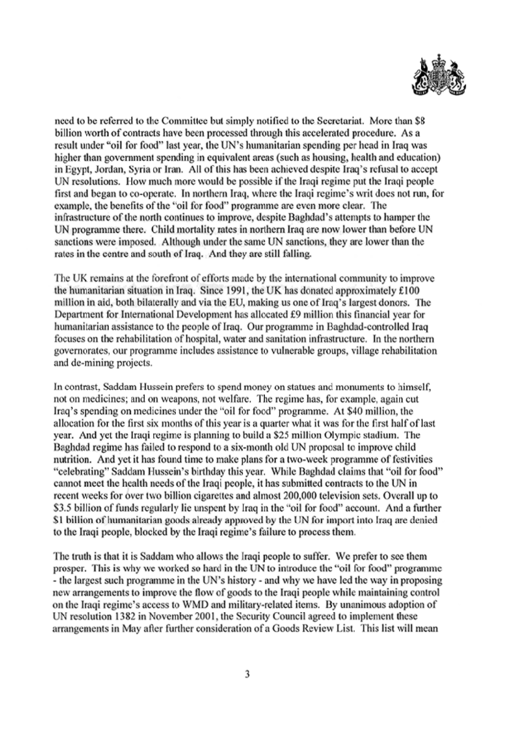

need to be referred to the Committee but simply notified to the Secretariat. More than \$8 billion worth of contracts have been processed through this accelerated procedure. As a result under "oil for food" last year, the UN's humanitarian spending per head in Iraq was higher than government spending in equivalent areas (such as housing, health and education) in Egypt, Jordan, Syria or Iran. All of this has been achieved despite Iraq's refusal to accept UN resolutions. How much more would be possible if the Iraqi regime put the Iraqi people first and began to co-operate. In northern Iraq, where the Iraqi regime's writ does not run, for example, the benefits of the "oil for food" programme are even more clear. The infrastructure of the north continues to improve, despite Baghdad's attempts to hamper the UN programme there. Child mortality rates in northern Iraq are now lower than before UN sanctions were imposed. Although under the same UN sanctions, they are lower than the rates in the centre and south of Iraq. And they are still falling.

The UK remains at the forefront of efforts made by the international community to improve the humanitarian situation in Iraq. Since 1991, the UK has donated approximately £100 million in aid, both bilaterally and via the EU, making us one of Iraq's largest donors. The Department for International Development has allocated £9 million this financial year for humanitarian assistance to the people of Iraq. Our programme in Baghdad-controlled Iraq focuses on the rehabilitation of hospital, water and sanitation infrastructure. In the northern governorates, our programme includes assistance to vulnerable groups, village rehabilitation and de-mining projects.

In contrast, Saddam Hussein prefers to spend money on statues and monuments to himself, not on medicines; and on weapons, not welfare. The regime has, for example, again cut Iraq's spending on medicines under the "oil for food" programme. At \$40 million, the allocation for the first six months of this year is a quarter what it was for the first half of last year. And yet the Iraqi regime is planning to build a \$25 million Olympic stadium. The Baghdad regime has failed to respond to a six-month old UN proposal to improve child nutrition. And yet it has found time to make plans for a two-week programme of festivities "celebrating" Saddam Hussein's birthday this year. While Baghdad claims that "oil for food" cannot meet the health needs of the Iraqi people, it has submitted contracts to the UN in recent weeks for over two billion cigarettes and almost 200,000 television sets. Overall up to \$3.5 billion of funds regularly lie unspent by Iraq in the "oil for food" account. And a further \$1 billion of humanitarian goods already approved by the UN for import into Iraq are denied to the Iraqi people, blocked by the Iraqi regime's failure to process them.

The truth is that it is Saddam who allows the Iraqi people to suffer. We prefer to see them prosper. This is why we worked so hard in the UN to introduce the "oil for food" programme - the largest such programme in the UN's history - and why we have led the way in proposing new arrangements to improve the flow of goods to the Iraqi people while maintaining control on the Iraqi regime's access to WMD and military-related items. By unanimous adoption of UN resolution 1382 in November 2001, the Security Council agreed to implement these arrangements in May after further consideration of a Goods Review List. This list will mean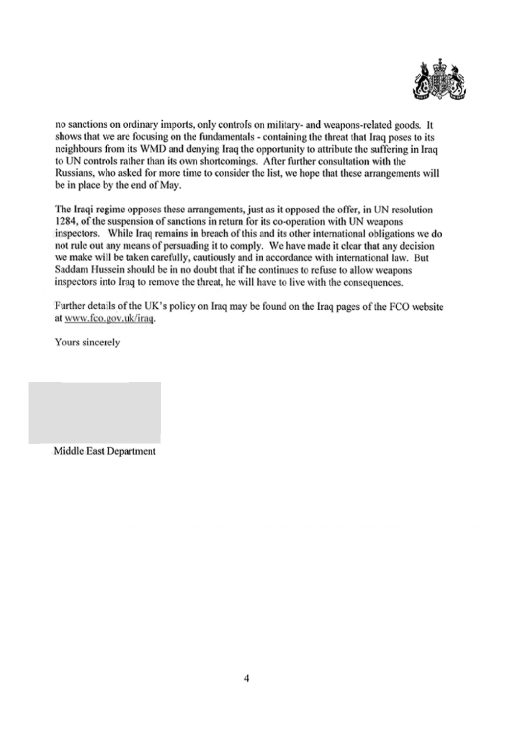

no sanctions on ordinary imports, only controls on military- and weapons-related goods. It shows that we are focusing on the fundamentals - containing the threat that Iraq poses to its neighbours from its WMD and denying Iraq the opportunity to attribute the suffering in Iraq to UN controls rather than its own shortcomings. After further consultation with the Russians, who asked for more time to consider the list, we hope that these arrangements will be in place by the end of May.

The Iraqi regime opposes these arrangements, just as it opposed the offer, in UN resolution 1284, of the suspension of sanctions in return for its co-operation with UN weapons inspectors. While Iraq remains in breach of this and its other international obligations we do not rule out any means of persuading it to comply. We have made it clear that any decision we make will be taken carefully, cautiously and in accordance with international law. But Saddam Hussein should be in no doubt that if he continues to refuse to allow weapons inspectors into Iraq to remove the threat, he will have to live with the consequences.

Further details of the UK's policy on Iraq may be found on the Iraq pages of the FCO website at www.fco.gov.uk/iraq.

Yours sincerely

Middle East Department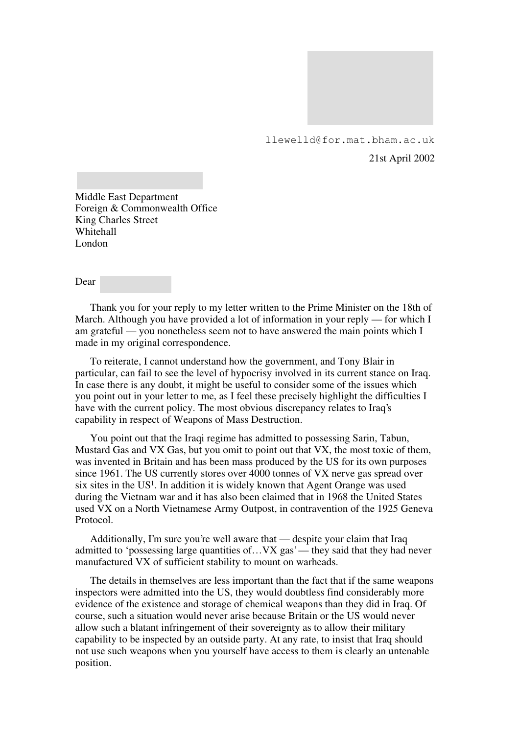

llewelld@for.mat.bham.ac.uk

21st April 2002

Middle East Department Foreign & Commonwealth Office King Charles Street Whitehall London

Dear

Thank you for your reply to my letter written to the Prime Minister on the 18th of March. Although you have provided a lot of information in your reply — for which I am grateful — you nonetheless seem not to have answered the main points which I made in my original correspondence.

To reiterate, I cannot understand how the government, and Tony Blair in particular, can fail to see the level of hypocrisy involved in its current stance on Iraq. In case there is any doubt, it might be useful to consider some of the issues which you point out in your letter to me, as I feel these precisely highlight the difficulties I have with the current policy. The most obvious discrepancy relates to Iraq's capability in respect of Weapons of Mass Destruction.

You point out that the Iraqi regime has admitted to possessing Sarin, Tabun, Mustard Gas and VX Gas, but you omit to point out that VX, the most toxic of them, was invented in Britain and has been mass produced by the US for its own purposes since 1961. The US currently stores over 4000 tonnes of VX nerve gas spread over six sites in the  $US^1$ . In addition it is widely known that Agent Orange was used during the Vietnam war and it has also been claimed that in 1968 the United States used VX on a North Vietnamese Army Outpost, in contravention of the 1925 Geneva Protocol.

Additionally, I'm sure you're well aware that — despite your claim that Iraq admitted to 'possessing large quantities of... VX gas' — they said that they had never manufactured VX of sufficient stability to mount on warheads.

The details in themselves are less important than the fact that if the same weapons inspectors were admitted into the US, they would doubtless find considerably more evidence of the existence and storage of chemical weapons than they did in Iraq. Of course, such a situation would never arise because Britain or the US would never allow such a blatant infringement of their sovereignty as to allow their military capability to be inspected by an outside party. At any rate, to insist that Iraq should not use such weapons when you yourself have access to them is clearly an untenable position.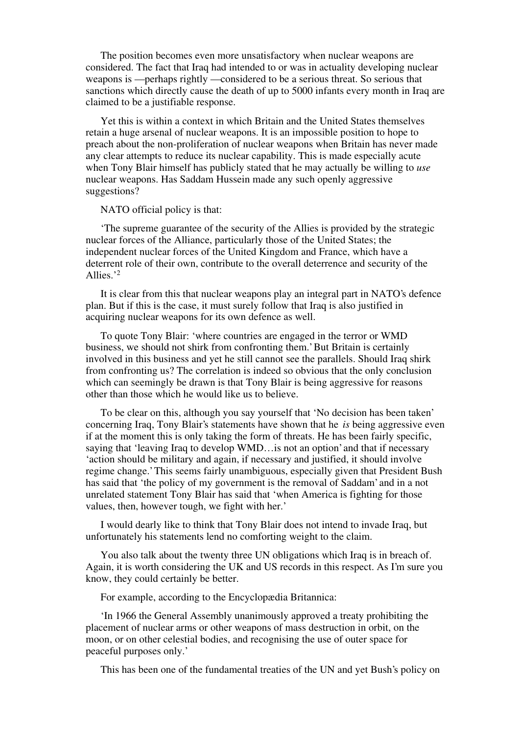The position becomes even more unsatisfactory when nuclear weapons are considered. The fact that Iraq had intended to or was in actuality developing nuclear weapons is — perhaps rightly — considered to be a serious threat. So serious that sanctions which directly cause the death of up to 5000 infants every month in Iraq are claimed to be a justifiable response.

Yet this is within a context in which Britain and the United States themselves retain a huge arsenal of nuclear weapons. It is an impossible position to hope to preach about the non-proliferation of nuclear weapons when Britain has never made any clear attempts to reduce its nuclear capability. This is made especially acute when Tony Blair himself has publicly stated that he may actually be willing to *use* nuclear weapons. Has Saddam Hussein made any such openly aggressive suggestions?

NATO official policy is that:

'The supreme guarantee of the security of the Allies is provided by the strategic nuclear forces of the Alliance, particularly those of the United States; the independent nuclear forces of the United Kingdom and France, which have a deterrent role of their own, contribute to the overall deterrence and security of the Allies.'<sup>2</sup>

It is clear from this that nuclear weapons play an integral part in NATO's defence plan. But if this is the case, it must surely follow that Iraq is also justified in acquiring nuclear weapons for its own defence as well.

To quote Tony Blair: 'where countries are engaged in the terror or WMD business, we should not shirk from confronting them.' But Britain is certainly involved in this business and yet he still cannot see the parallels. Should Iraq shirk from confronting us? The correlation is indeed so obvious that the only conclusion which can seemingly be drawn is that Tony Blair is being aggressive for reasons other than those which he would like us to believe.

To be clear on this, although you say yourself that 'No decision has been taken' concerning Iraq, Tony Blair's statements have shown that he *is* being aggressive even if at the moment this is only taking the form of threats. He has been fairly specific, saying that 'leaving Iraq to develop WMD…is not an option' and that if necessary 'action should be military and again, if necessary and justified, it should involve regime change.' This seems fairly unambiguous, especially given that President Bush has said that 'the policy of my government is the removal of Saddam' and in a not unrelated statement Tony Blair has said that 'when America is fighting for those values, then, however tough, we fight with her.'

I would dearly like to think that Tony Blair does not intend to invade Iraq, but unfortunately his statements lend no comforting weight to the claim.

You also talk about the twenty three UN obligations which Iraq is in breach of. Again, it is worth considering the UK and US records in this respect. As I'm sure you know, they could certainly be better.

For example, according to the Encyclopædia Britannica:

'In 1966 the General Assembly unanimously approved a treaty prohibiting the placement of nuclear arms or other weapons of mass destruction in orbit, on the moon, or on other celestial bodies, and recognising the use of outer space for peaceful purposes only.'

This has been one of the fundamental treaties of the UN and yet Bush's policy on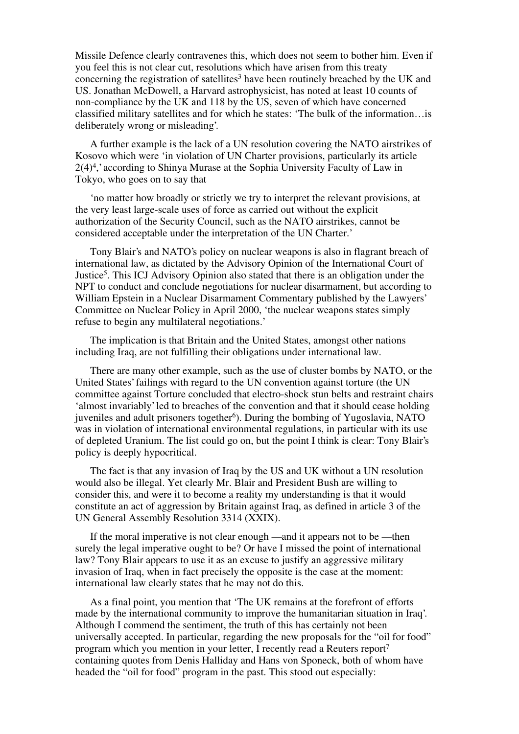Missile Defence clearly contravenes this, which does not seem to bother him. Even if you feel this is not clear cut, resolutions which have arisen from this treaty concerning the registration of satellites<sup>3</sup> have been routinely breached by the UK and US. Jonathan McDowell, a Harvard astrophysicist, has noted at least 10 counts of non-compliance by the UK and 118 by the US, seven of which have concerned classified military satellites and for which he states: 'The bulk of the information…is deliberately wrong or misleading'.

A further example is the lack of a UN resolution covering the NATO airstrikes of Kosovo which were 'in violation of UN Charter provisions, particularly its article 2(4)<sup>4</sup> ,' according to Shinya Murase at the Sophia University Faculty of Law in Tokyo, who goes on to say that

'no matter how broadly or strictly we try to interpret the relevant provisions, at the very least large-scale uses of force as carried out without the explicit authorization of the Security Council, such as the NATO airstrikes, cannot be considered acceptable under the interpretation of the UN Charter.'

Tony Blair's and NATO's policy on nuclear weapons is also in flagrant breach of international law, as dictated by the Advisory Opinion of the International Court of Justice<sup>5</sup>. This ICJ Advisory Opinion also stated that there is an obligation under the NPT to conduct and conclude negotiations for nuclear disarmament, but according to William Epstein in a Nuclear Disarmament Commentary published by the Lawyers' Committee on Nuclear Policy in April 2000, 'the nuclear weapons states simply refuse to begin any multilateral negotiations.'

The implication is that Britain and the United States, amongst other nations including Iraq, are not fulfilling their obligations under international law.

There are many other example, such as the use of cluster bombs by NATO, or the United States' failings with regard to the UN convention against torture (the UN committee against Torture concluded that electro-shock stun belts and restraint chairs 'almost invariably' led to breaches of the convention and that it should cease holding juveniles and adult prisoners together<sup>6</sup>). During the bombing of Yugoslavia, NATO was in violation of international environmental regulations, in particular with its use of depleted Uranium. The list could go on, but the point I think is clear: Tony Blair's policy is deeply hypocritical.

The fact is that any invasion of Iraq by the US and UK without a UN resolution would also be illegal. Yet clearly Mr. Blair and President Bush are willing to consider this, and were it to become a reality my understanding is that it would constitute an act of aggression by Britain against Iraq, as defined in article 3 of the UN General Assembly Resolution 3314 (XXIX).

If the moral imperative is not clear enough — and it appears not to be — then surely the legal imperative ought to be? Or have I missed the point of international law? Tony Blair appears to use it as an excuse to justify an aggressive military invasion of Iraq, when in fact precisely the opposite is the case at the moment: international law clearly states that he may not do this.

As a final point, you mention that 'The UK remains at the forefront of efforts made by the international community to improve the humanitarian situation in Iraq'. Although I commend the sentiment, the truth of this has certainly not been universally accepted. In particular, regarding the new proposals for the "oil for food" program which you mention in your letter, I recently read a Reuters report<sup>7</sup> containing quotes from Denis Halliday and Hans von Sponeck, both of whom have headed the "oil for food" program in the past. This stood out especially: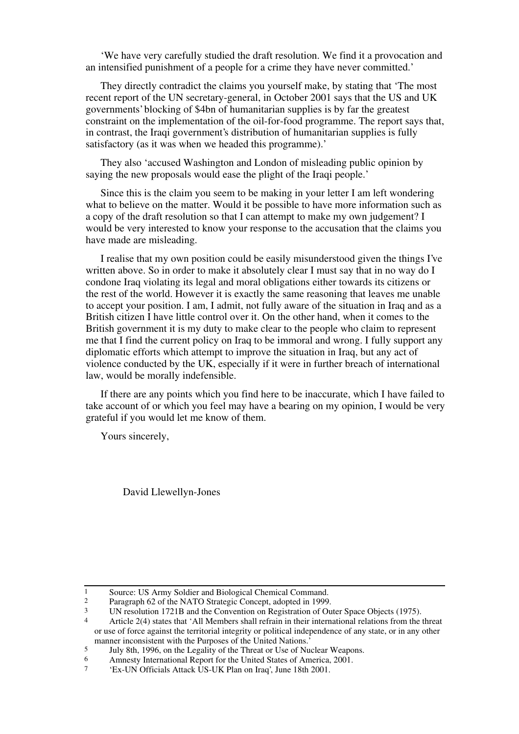'We have very carefully studied the draft resolution. We find it a provocation and an intensified punishment of a people for a crime they have never committed.'

They directly contradict the claims you yourself make, by stating that 'The most recent report of the UN secretary-general, in October 2001 says that the US and UK governments' blocking of \$4bn of humanitarian supplies is by far the greatest constraint on the implementation of the oil-for-food programme. The report says that, in contrast, the Iraqi government's distribution of humanitarian supplies is fully satisfactory (as it was when we headed this programme).'

They also 'accused Washington and London of misleading public opinion by saying the new proposals would ease the plight of the Iraqi people.'

Since this is the claim you seem to be making in your letter I am left wondering what to believe on the matter. Would it be possible to have more information such as a copy of the draft resolution so that I can attempt to make my own judgement? I would be very interested to know your response to the accusation that the claims you have made are misleading.

I realise that my own position could be easily misunderstood given the things I've written above. So in order to make it absolutely clear I must say that in no way do I condone Iraq violating its legal and moral obligations either towards its citizens or the rest of the world. However it is exactly the same reasoning that leaves me unable to accept your position. I am, I admit, not fully aware of the situation in Iraq and as a British citizen I have little control over it. On the other hand, when it comes to the British government it is my duty to make clear to the people who claim to represent me that I find the current policy on Iraq to be immoral and wrong. I fully support any diplomatic efforts which attempt to improve the situation in Iraq, but any act of violence conducted by the UK, especially if it were in further breach of international law, would be morally indefensible.

If there are any points which you find here to be inaccurate, which I have failed to take account of or which you feel may have a bearing on my opinion, I would be very grateful if you would let me know of them.

Yours sincerely,

David Llewellyn-Jones

<sup>1</sup> Source: US Army Soldier and Biological Chemical Command.

<sup>2</sup> Paragraph 62 of the NATO Strategic Concept, adopted in 1999.

<sup>3</sup> UN resolution 1721B and the Convention on Registration of Outer Space Objects (1975).

<sup>4</sup> Article 2(4) states that 'All Members shall refrain in their international relations from the threat or use of force against the territorial integrity or political independence of any state, or in any other manner inconsistent with the Purposes of the United Nations.'

<sup>5</sup> July 8th, 1996, on the Legality of the Threat or Use of Nuclear Weapons.

<sup>6</sup> Amnesty International Report for the United States of America, 2001.<br> $\frac{1}{7}$   $\frac{1}{18}$  UN Officials Attack US UK Plan on Iraq', June 18th 2001

<sup>7</sup> 'Ex-UN Officials Attack US-UK Plan on Iraq', June 18th 2001.